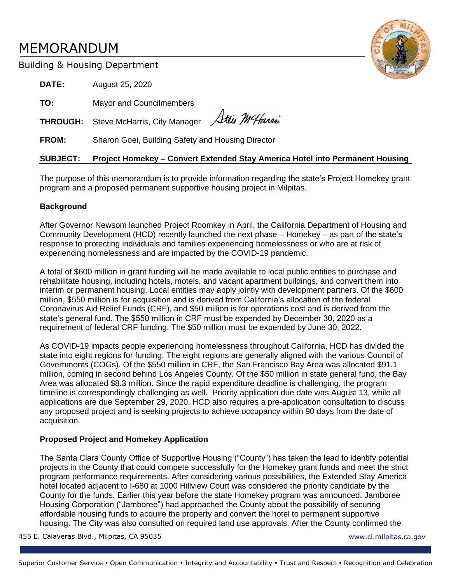# MEMORANDUM



# Building & Housing Department

**DATE:** August 25, 2020 **TO:** Mayor and Councilmembers Steu MeHarris **THROUGH:** Steve McHarris, City Manager **FROM:** Sharon Goei, Building Safety and Housing Director

# **SUBJECT: Project Homekey – Convert Extended Stay America Hotel into Permanent Housing**

The purpose of this memorandum is to provide information regarding the state's Project Homekey grant program and a proposed permanent supportive housing project in Milpitas.

## **Background**

After Governor Newsom launched Project Roomkey in April, the California Department of Housing and Community Development (HCD) recently launched the next phase – Homekey – as part of the state's response to protecting individuals and families experiencing homelessness or who are at risk of experiencing homelessness and are impacted by the COVID-19 pandemic.

A total of \$600 million in grant funding will be made available to local public entities to purchase and rehabilitate housing, including hotels, motels, and vacant apartment buildings, and convert them into interim or permanent housing. Local entities may apply jointly with development partners. Of the \$600 million, \$550 million is for acquisition and is derived from California's allocation of the federal Coronavirus Aid Relief Funds (CRF), and \$50 million is for operations cost and is derived from the state's general fund. The \$550 million in CRF must be expended by December 30, 2020 as a requirement of federal CRF funding. The \$50 million must be expended by June 30, 2022.

As COVID-19 impacts people experiencing homelessness throughout California, HCD has divided the state into eight regions for funding. The eight regions are generally aligned with the various Council of Governments (COGs). Of the \$550 million in CRF, the San Francisco Bay Area was allocated \$91.1 million, coming in second behind Los Angeles County. Of the \$50 million in state general fund, the Bay Area was allocated \$8.3 million. Since the rapid expenditure deadline is challenging, the program timeline is correspondingly challenging as well. Priority application due date was August 13, while all applications are due September 29, 2020. HCD also requires a pre-application consultation to discuss any proposed project and is seeking projects to achieve occupancy within 90 days from the date of acquisition.

# **Proposed Project and Homekey Application**

The Santa Clara County Office of Supportive Housing ("County") has taken the lead to identify potential projects in the County that could compete successfully for the Homekey grant funds and meet the strict program performance requirements. After considering various possibilities, the Extended Stay America hotel located adjacent to I-680 at 1000 Hillview Court was considered the priority candidate by the County for the funds. Earlier this year before the state Homekey program was announced, Jamboree Housing Corporation ("Jamboree") had approached the County about the possibility of securing affordable housing funds to acquire the property and convert the hotel to permanent supportive housing. The City was also consulted on required land use approvals. After the County confirmed the

455 E. Calaveras Blvd., Milpitas, CA 95035 [www.ci.milpitas.ca.gov](file://///callisto/city_mgr/City%20Manager)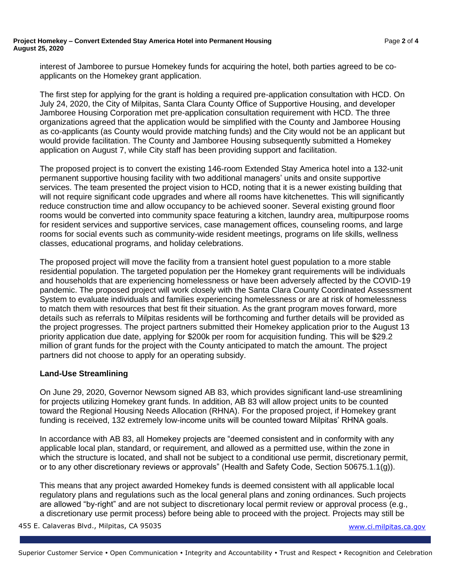#### **Project Homekey – Convert Extended Stay America Hotel into Permanent Housing** Page **2** of **4 August 25, 2020**

interest of Jamboree to pursue Homekey funds for acquiring the hotel, both parties agreed to be coapplicants on the Homekey grant application.

The first step for applying for the grant is holding a required pre-application consultation with HCD. On July 24, 2020, the City of Milpitas, Santa Clara County Office of Supportive Housing, and developer Jamboree Housing Corporation met pre-application consultation requirement with HCD. The three organizations agreed that the application would be simplified with the County and Jamboree Housing as co-applicants (as County would provide matching funds) and the City would not be an applicant but would provide facilitation. The County and Jamboree Housing subsequently submitted a Homekey application on August 7, while City staff has been providing support and facilitation.

The proposed project is to convert the existing 146-room Extended Stay America hotel into a 132-unit permanent supportive housing facility with two additional managers' units and onsite supportive services. The team presented the project vision to HCD, noting that it is a newer existing building that will not require significant code upgrades and where all rooms have kitchenettes. This will significantly reduce construction time and allow occupancy to be achieved sooner. Several existing ground floor rooms would be converted into community space featuring a kitchen, laundry area, multipurpose rooms for resident services and supportive services, case management offices, counseling rooms, and large rooms for social events such as community-wide resident meetings, programs on life skills, wellness classes, educational programs, and holiday celebrations.

The proposed project will move the facility from a transient hotel guest population to a more stable residential population. The targeted population per the Homekey grant requirements will be individuals and households that are experiencing homelessness or have been adversely affected by the COVID-19 pandemic. The proposed project will work closely with the Santa Clara County Coordinated Assessment System to evaluate individuals and families experiencing homelessness or are at risk of homelessness to match them with resources that best fit their situation. As the grant program moves forward, more details such as referrals to Milpitas residents will be forthcoming and further details will be provided as the project progresses. The project partners submitted their Homekey application prior to the August 13 priority application due date, applying for \$200k per room for acquisition funding. This will be \$29.2 million of grant funds for the project with the County anticipated to match the amount. The project partners did not choose to apply for an operating subsidy.

### **Land-Use Streamlining**

On June 29, 2020, Governor Newsom signed AB 83, which provides significant land-use streamlining for projects utilizing Homekey grant funds. In addition, AB 83 will allow project units to be counted toward the Regional Housing Needs Allocation (RHNA). For the proposed project, if Homekey grant funding is received, 132 extremely low-income units will be counted toward Milpitas' RHNA goals.

In accordance with AB 83, all Homekey projects are "deemed consistent and in conformity with any applicable local plan, standard, or requirement, and allowed as a permitted use, within the zone in which the structure is located, and shall not be subject to a conditional use permit, discretionary permit, or to any other discretionary reviews or approvals" (Health and Safety Code, Section 50675.1.1(g)).

This means that any project awarded Homekey funds is deemed consistent with all applicable local regulatory plans and regulations such as the local general plans and zoning ordinances. Such projects are allowed "by-right" and are not subject to discretionary local permit review or approval process (e.g., a discretionary use permit process) before being able to proceed with the project. Projects may still be

455 E. Calaveras Blvd., Milpitas, CA 95035 [www.ci.milpitas.ca.gov](file://///callisto/city_mgr/City%20Manager)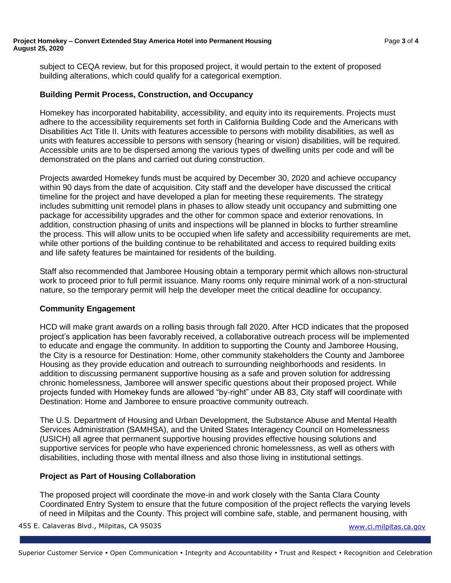#### **Project Homekey – Convert Extended Stay America Hotel into Permanent Housing** Page **3** of **4 August 25, 2020**

subject to CEQA review, but for this proposed project, it would pertain to the extent of proposed building alterations, which could qualify for a categorical exemption.

## **Building Permit Process, Construction, and Occupancy**

Homekey has incorporated habitability, accessibility, and equity into its requirements. Projects must adhere to the accessibility requirements set forth in California Building Code and the Americans with Disabilities Act Title II. Units with features accessible to persons with mobility disabilities, as well as units with features accessible to persons with sensory (hearing or vision) disabilities, will be required. Accessible units are to be dispersed among the various types of dwelling units per code and will be demonstrated on the plans and carried out during construction.

Projects awarded Homekey funds must be acquired by December 30, 2020 and achieve occupancy within 90 days from the date of acquisition. City staff and the developer have discussed the critical timeline for the project and have developed a plan for meeting these requirements. The strategy includes submitting unit remodel plans in phases to allow steady unit occupancy and submitting one package for accessibility upgrades and the other for common space and exterior renovations. In addition, construction phasing of units and inspections will be planned in blocks to further streamline the process. This will allow units to be occupied when life safety and accessibility requirements are met, while other portions of the building continue to be rehabilitated and access to required building exits and life safety features be maintained for residents of the building.

Staff also recommended that Jamboree Housing obtain a temporary permit which allows non-structural work to proceed prior to full permit issuance. Many rooms only require minimal work of a non-structural nature, so the temporary permit will help the developer meet the critical deadline for occupancy.

### **Community Engagement**

HCD will make grant awards on a rolling basis through fall 2020. After HCD indicates that the proposed project's application has been favorably received, a collaborative outreach process will be implemented to educate and engage the community. In addition to supporting the County and Jamboree Housing, the City is a resource for Destination: Home, other community stakeholders the County and Jamboree Housing as they provide education and outreach to surrounding neighborhoods and residents. In addition to discussing permanent supportive housing as a safe and proven solution for addressing chronic homelessness, Jamboree will answer specific questions about their proposed project. While projects funded with Homekey funds are allowed "by-right" under AB 83, City staff will coordinate with Destination: Home and Jamboree to ensure proactive community outreach.

The U.S. Department of Housing and Urban Development, the Substance Abuse and Mental Health Services Administration (SAMHSA), and the United States Interagency Council on Homelessness (USICH) all agree that permanent supportive housing provides effective housing solutions and supportive services for people who have experienced chronic homelessness, as well as others with disabilities, including those with mental illness and also those living in institutional settings.

### **Project as Part of Housing Collaboration**

The proposed project will coordinate the move-in and work closely with the Santa Clara County Coordinated Entry System to ensure that the future composition of the project reflects the varying levels of need in Milpitas and the County. This project will combine safe, stable, and permanent housing, with

455 E. Calaveras Blvd., Milpitas, CA 95035 [www.ci.milpitas.ca.gov](file://///callisto/city_mgr/City%20Manager)